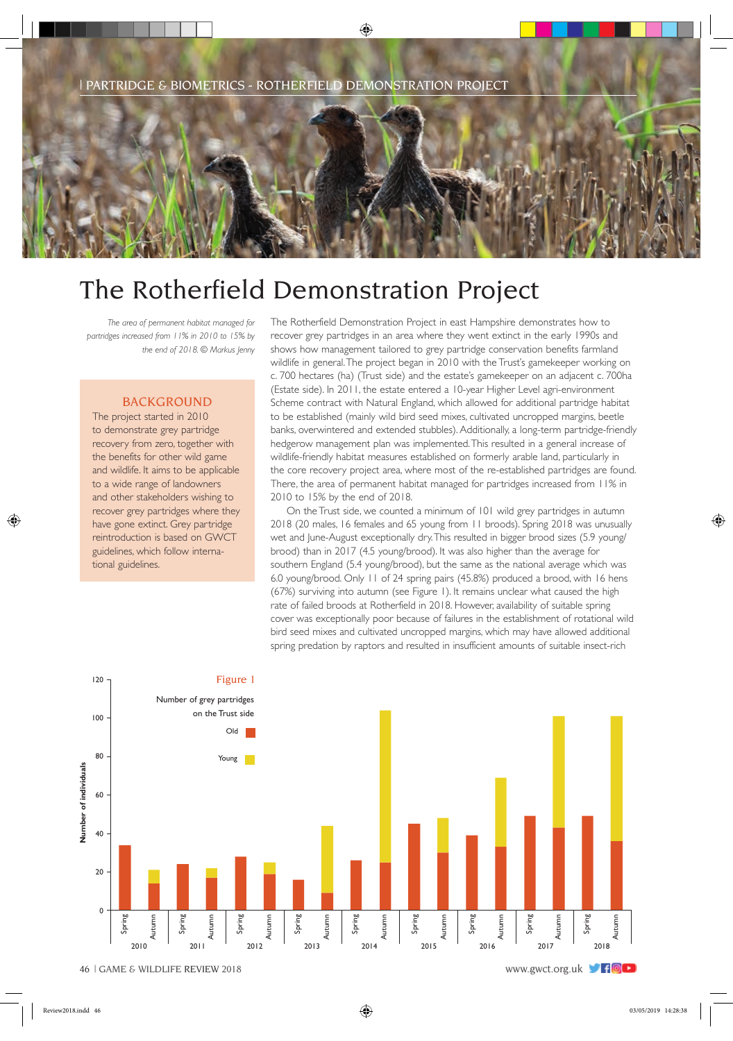

## The Rotherfield Demonstration Project

*The area of permanent habitat managed for partridges increased from 11% in 2010 to 15% by the end of 2018. © Markus Jenny*

## BACKGROUND

The project started in 2010 to demonstrate grey partridge recovery from zero, together with the benefits for other wild game and wildlife. It aims to be applicable to a wide range of landowners and other stakeholders wishing to recover grey partridges where they have gone extinct. Grey partridge reintroduction is based on GWCT guidelines, which follow international guidelines.

The Rotherfield Demonstration Project in east Hampshire demonstrates how to recover grey partridges in an area where they went extinct in the early 1990s and shows how management tailored to grey partridge conservation benefits farmland wildlife in general. The project began in 2010 with the Trust's gamekeeper working on c. 700 hectares (ha) (Trust side) and the estate's gamekeeper on an adjacent c. 700ha (Estate side). In 2011, the estate entered a 10-year Higher Level agri-environment Scheme contract with Natural England, which allowed for additional partridge habitat to be established (mainly wild bird seed mixes, cultivated uncropped margins, beetle banks, overwintered and extended stubbles). Additionally, a long-term partridge-friendly hedgerow management plan was implemented. This resulted in a general increase of wildlife-friendly habitat measures established on formerly arable land, particularly in the core recovery project area, where most of the re-established partridges are found. There, the area of permanent habitat managed for partridges increased from 11% in 2010 to 15% by the end of 2018.

On the Trust side, we counted a minimum of 101 wild grey partridges in autumn 2018 (20 males, 16 females and 65 young from 11 broods). Spring 2018 was unusually wet and June-August exceptionally dry. This resulted in bigger brood sizes (5.9 young/ brood) than in 2017 (4.5 young/brood). It was also higher than the average for southern England (5.4 young/brood), but the same as the national average which was 6.0 young/brood. Only 11 of 24 spring pairs (45.8%) produced a brood, with 16 hens (67%) surviving into autumn (see Figure 1). It remains unclear what caused the high rate of failed broods at Rotherfield in 2018. However, availability of suitable spring cover was exceptionally poor because of failures in the establishment of rotational wild bird seed mixes and cultivated uncropped margins, which may have allowed additional spring predation by raptors and resulted in insufficient amounts of suitable insect-rich